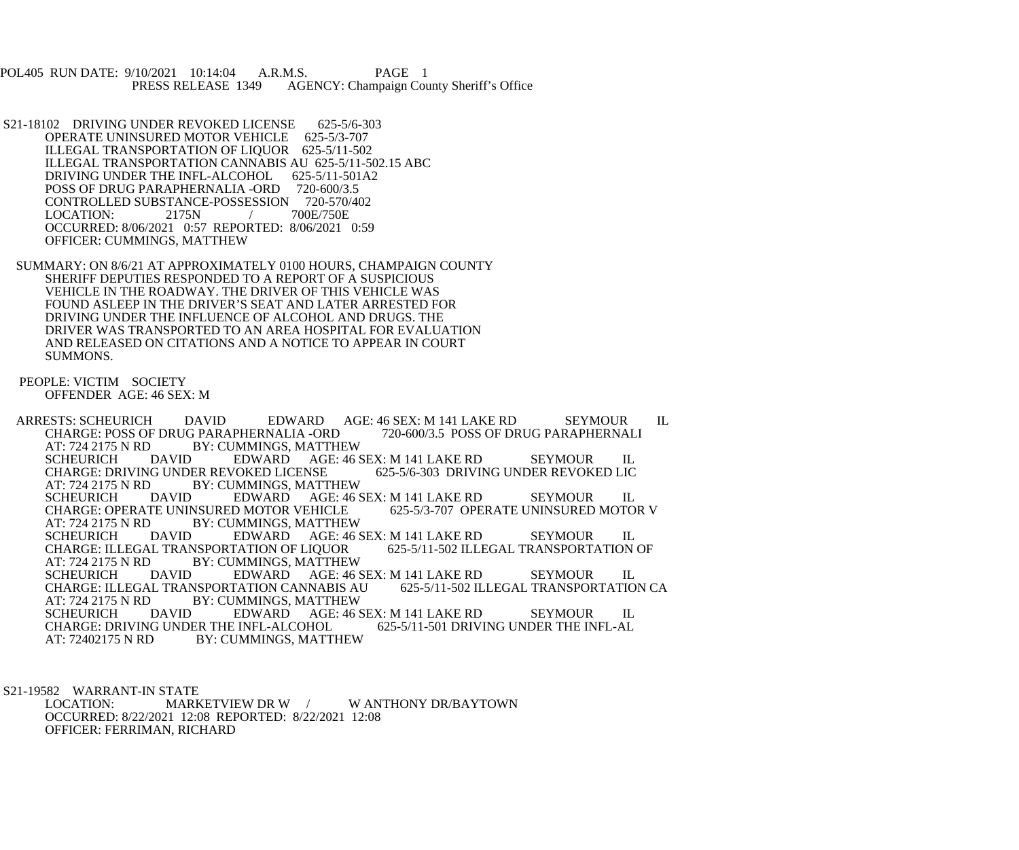POL405 RUN DATE: 9/10/2021 10:14:04 A.R.M.S. PAGE 1<br>PRESS RELEASE 1349 AGENCY: Champaign Cou AGENCY: Champaign County Sheriff's Office

 S21-18102 DRIVING UNDER REVOKED LICENSE 625-5/6-303 OPERATE UNINSURED MOTOR VEHICLE 625-5/3-707 ILLEGAL TRANSPORTATION OF LIQUOR 625-5/11-502 ILLEGAL TRANSPORTATION CANNABIS AU 625-5/11-502.15 ABC DRIVING UNDER THE INFL-ALCOHOL 625-5/11-501A2 POSS OF DRUG PARAPHERNALIA -ORD 720-600/3.5 CONTROLLED SUBSTANCE-POSSESSION 720-570/402<br>LOCATION: 2175N / 700E/750E  $LOGATION: 2175N$  / OCCURRED: 8/06/2021 0:57 REPORTED: 8/06/2021 0:59 OFFICER: CUMMINGS, MATTHEW

 SUMMARY: ON 8/6/21 AT APPROXIMATELY 0100 HOURS, CHAMPAIGN COUNTY SHERIFF DEPUTIES RESPONDED TO A REPORT OF A SUSPICIOUS VEHICLE IN THE ROADWAY. THE DRIVER OF THIS VEHICLE WAS FOUND ASLEEP IN THE DRIVER'S SEAT AND LATER ARRESTED FOR DRIVING UNDER THE INFLUENCE OF ALCOHOL AND DRUGS. THE DRIVER WAS TRANSPORTED TO AN AREA HOSPITAL FOR EVALUATION AND RELEASED ON CITATIONS AND A NOTICE TO APPEAR IN COURT SUMMONS.

 PEOPLE: VICTIM SOCIETY OFFENDER AGE: 46 SEX: M

ARRESTS: SCHEURICH DAVID EDWARD AGE: 46 SEX: M 141 LAKE RD SEYMOUR IL<br>CHARGE: POSS OF DRUG PARAPHERNALIA -ORD 720-600/3.5 POSS OF DRUG PARAPHERNALI CHARGE: POSS OF DRUG PARAPHERNALIA -ORD<br>AT: 724 2175 N RD BY: CUMMINGS, MATTHI AT: 724 2175 N RD BY: CUMMINGS, MATTHEW<br>SCHEURICH DAVID EDWARD AGE: 46 EDWARD AGE: 46 SEX: M 141 LAKE RD SEYMOUR IL<br>VOKED LICENSE 625-5/6-303 DRIVING UNDER REVOKED LIC CHARGE: DRIVING UNDER REVOKED LICENSE<br>AT: 724 2175 N RD BY: CUMMINGS, MATT AT: 724 2175 N RD BY: CUMMINGS, MATTHEW<br>SCHEURICH DAVID EDWARD AGE: 46 DAVID EDWARD AGE: 46 SEX: M 141 LAKE RD SEYMOUR IL TE UNINSURED MOTOR VEHICLE 625-5/3-707 OPERATE UNINSURED MOTOR V CHARGE: OPERATE UNINSURED MOTOR VEHICLE AT: 724 2175 N RD BY: CUMMINGS, MATTHEW<br>SCHEURICH DAVID EDWARD AGE: 46 EDWARD AGE: 46 SEX: M 141 LAKE RD SEYMOUR IL<br>TATION OF LIQUOR 625-5/11-502 ILLEGAL TRANSPORTATION OF CHARGE: ILLEGAL TRANSPORTATION OF LIQUOR<br>AT: 724 2175 N RD BY: CUMMINGS, MATTHEY AT: 724 2175 N RD BY: CUMMINGS, MATTHEW SCHEURICH DAVID EDWARD AGE: 46 SEX: M 141 LAKE RD SEYMOUR IL<br>CHARGE: ILLEGAL TRANSPORTATION CANNABIS AU 625-5/11-502 ILLEGAL TRANSPORTATION CA CHARGE: ILLEGAL TRANSPORTATION CANNABIS AU AT: 724 2175 N RD BY: CUMMINGS, MATTHEW AT: 724 2175 N RD BY: CUMMINGS, MATTHEW<br>SCHEURICH DAVID EDWARD AGE: 46 S DAVID EDWARD AGE: 46 SEX: M 141 LAKE RD SEYMOUR IL<br>IG UNDER THE INFL-ALCOHOL 625-5/11-501 DRIVING UNDER THE INFL-AL CHARGE: DRIVING UNDER THE INFL-ALCOHOL AT: 72402175 N RD BY: CUMMINGS, MATTHEW

 S21-19582 WARRANT-IN STATE MARKETVIEW DR W / W ANTHONY DR/BAYTOWN OCCURRED: 8/22/2021 12:08 REPORTED: 8/22/2021 12:08 OFFICER: FERRIMAN, RICHARD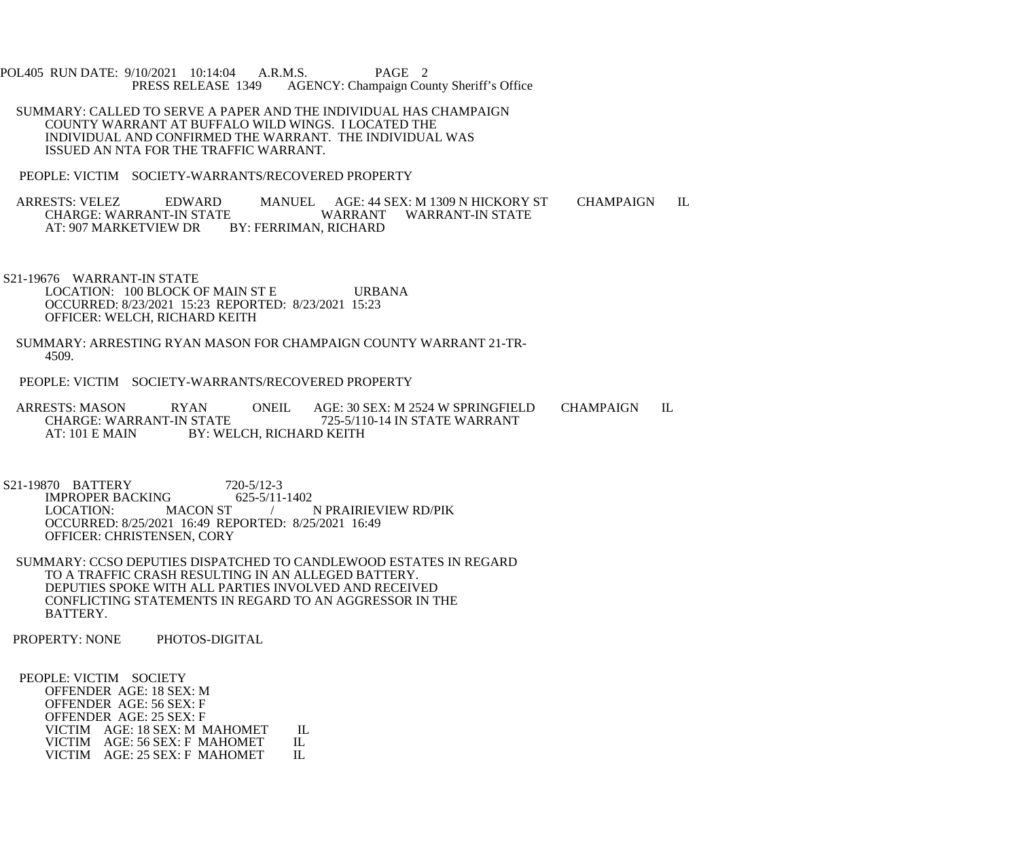POL405 RUN DATE: 9/10/2021 10:14:04 A.R.M.S. PAGE 2<br>PRESS RELEASE 1349 AGENCY: Champaign Cou AGENCY: Champaign County Sheriff's Office

 SUMMARY: CALLED TO SERVE A PAPER AND THE INDIVIDUAL HAS CHAMPAIGN COUNTY WARRANT AT BUFFALO WILD WINGS. I LOCATED THE INDIVIDUAL AND CONFIRMED THE WARRANT. THE INDIVIDUAL WAS ISSUED AN NTA FOR THE TRAFFIC WARRANT.

PEOPLE: VICTIM SOCIETY-WARRANTS/RECOVERED PROPERTY

ARRESTS: VELEZ EDWARD MANUEL AGE: 44 SEX: M 1309 N HICKORY ST CHAMPAIGN IL CHARGE: WARRANT WARRANT WARRANT-IN STATE E WARRANT WARRANT-IN STATE BY: FERRIMAN, RICHARD AT: 907 MARKETVIEW DR

 S21-19676 WARRANT-IN STATE LOCATION: 100 BLOCK OF MAIN ST E URBANA OCCURRED: 8/23/2021 15:23 REPORTED: 8/23/2021 15:23 OFFICER: WELCH, RICHARD KEITH

- SUMMARY: ARRESTING RYAN MASON FOR CHAMPAIGN COUNTY WARRANT 21-TR- 4509.
- PEOPLE: VICTIM SOCIETY-WARRANTS/RECOVERED PROPERTY

ARRESTS: MASON RYAN ONEIL AGE: 30 SEX: M 2524 W SPRINGFIELD CHAMPAIGN IL<br>CHARGE: WARRANT-IN STATE 725-5/110-14 IN STATE WARRANT 725-5/110-14 IN STATE WARRANT AT: 101 E MAIN BY: WELCH, RICHARD KEITH

S21-19870 BATTERY 720-5/12-3<br>IMPROPER BACKING 625-5/11-1402 IMPROPER BACKING<br>LOCATION: MACON ST LOCATION: MACON ST / N PRAIRIEVIEW RD/PIK OCCURRED: 8/25/2021 16:49 REPORTED: 8/25/2021 16:49 OFFICER: CHRISTENSEN, CORY

 SUMMARY: CCSO DEPUTIES DISPATCHED TO CANDLEWOOD ESTATES IN REGARD TO A TRAFFIC CRASH RESULTING IN AN ALLEGED BATTERY. DEPUTIES SPOKE WITH ALL PARTIES INVOLVED AND RECEIVED CONFLICTING STATEMENTS IN REGARD TO AN AGGRESSOR IN THE BATTERY.

PROPERTY: NONE PHOTOS-DIGITAL

 PEOPLE: VICTIM SOCIETY OFFENDER AGE: 18 SEX: M OFFENDER AGE: 56 SEX: F OFFENDER AGE: 25 SEX: F VICTIM AGE: 18 SEX: M MAHOMET IL<br>VICTIM AGE: 56 SEX: F MAHOMET IL VICTIM AGE: 56 SEX: F MAHOMET IL<br>VICTIM AGE: 25 SEX: F MAHOMET IL VICTIM AGE: 25 SEX: F MAHOMET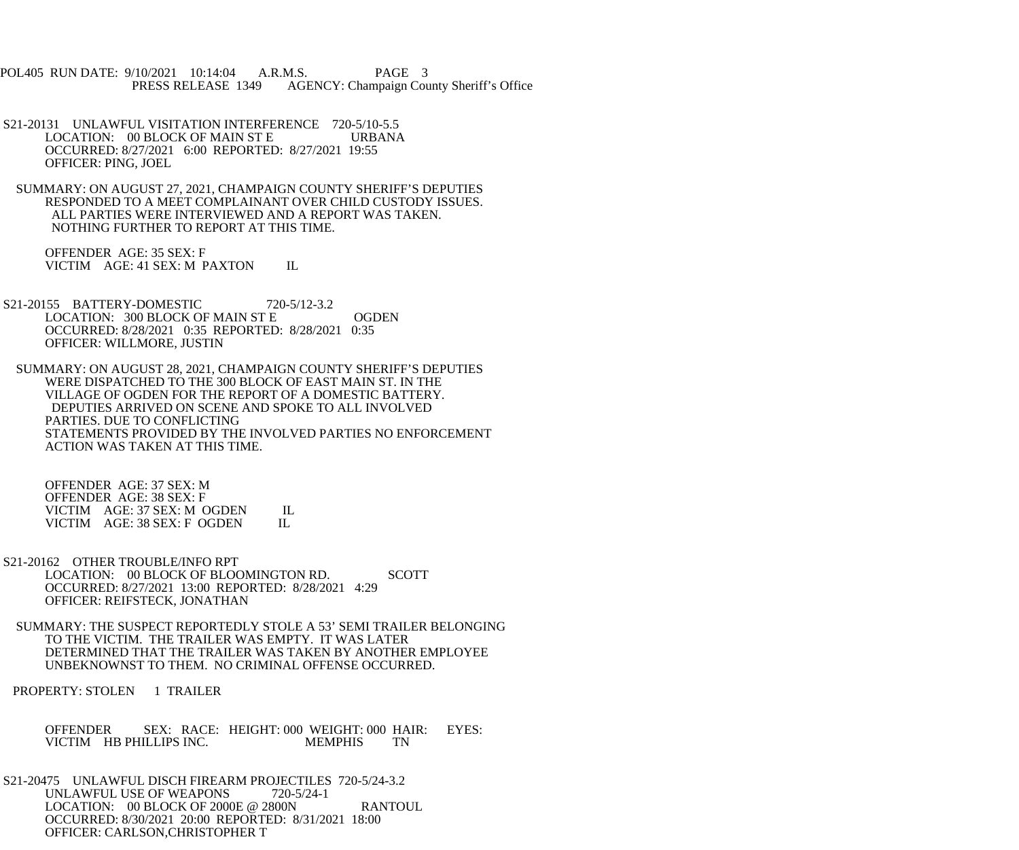POL405 RUN DATE: 9/10/2021 10:14:04 A.R.M.S. PAGE 3<br>PRESS RELEASE 1349 AGENCY: Champaign Cou AGENCY: Champaign County Sheriff's Office

- S21-20131 UNLAWFUL VISITATION INTERFERENCE 720-5/10-5.5 LOCATION: 00 BLOCK OF MAIN ST E URBANA OCCURRED: 8/27/2021 6:00 REPORTED: 8/27/2021 19:55 OFFICER: PING, JOEL
- SUMMARY: ON AUGUST 27, 2021, CHAMPAIGN COUNTY SHERIFF'S DEPUTIES RESPONDED TO A MEET COMPLAINANT OVER CHILD CUSTODY ISSUES. ALL PARTIES WERE INTERVIEWED AND A REPORT WAS TAKEN. NOTHING FURTHER TO REPORT AT THIS TIME.

 OFFENDER AGE: 35 SEX: F VICTIM AGE: 41 SEX: M PAXTON IL

- S21-20155 BATTERY-DOMESTIC 720-5/12-3.2 LOCATION: 300 BLOCK OF MAIN ST E OGDEN OCCURRED: 8/28/2021 0:35 REPORTED: 8/28/2021 0:35 OFFICER: WILLMORE, JUSTIN
- SUMMARY: ON AUGUST 28, 2021, CHAMPAIGN COUNTY SHERIFF'S DEPUTIES WERE DISPATCHED TO THE 300 BLOCK OF EAST MAIN ST. IN THE VILLAGE OF OGDEN FOR THE REPORT OF A DOMESTIC BATTERY. DEPUTIES ARRIVED ON SCENE AND SPOKE TO ALL INVOLVED PARTIES. DUE TO CONFLICTING STATEMENTS PROVIDED BY THE INVOLVED PARTIES NO ENFORCEMENT ACTION WAS TAKEN AT THIS TIME.

 OFFENDER AGE: 37 SEX: M OFFENDER AGE: 38 SEX: F VICTIM AGE: 37 SEX: M OGDEN IL<br>VICTIM AGE: 38 SEX: F OGDEN IL VICTIM AGE: 38 SEX: F OGDEN

- S21-20162 OTHER TROUBLE/INFO RPT LOCATION: 00 BLOCK OF BLOOMINGTON RD. SCOTT OCCURRED: 8/27/2021 13:00 REPORTED: 8/28/2021 4:29 OFFICER: REIFSTECK, JONATHAN
- SUMMARY: THE SUSPECT REPORTEDLY STOLE A 53' SEMI TRAILER BELONGING TO THE VICTIM. THE TRAILER WAS EMPTY. IT WAS LATER DETERMINED THAT THE TRAILER WAS TAKEN BY ANOTHER EMPLOYEE UNBEKNOWNST TO THEM. NO CRIMINAL OFFENSE OCCURRED.

PROPERTY: STOLEN 1 TRAILER

OFFENDER SEX: RACE: HEIGHT: 000 WEIGHT: 000 HAIR: EYES:<br>VICTIM HB PHILLIPS INC. MEMPHIS TN VICTIM HB PHILLIPS INC.

 S21-20475 UNLAWFUL DISCH FIREARM PROJECTILES 720-5/24-3.2 UNLAWFUL USE OF WEAPONS 720-5/24-1 LOCATION: 00 BLOCK OF 2000E @ 2800N RANTOUL OCCURRED: 8/30/2021 20:00 REPORTED: 8/31/2021 18:00 OFFICER: CARLSON,CHRISTOPHER T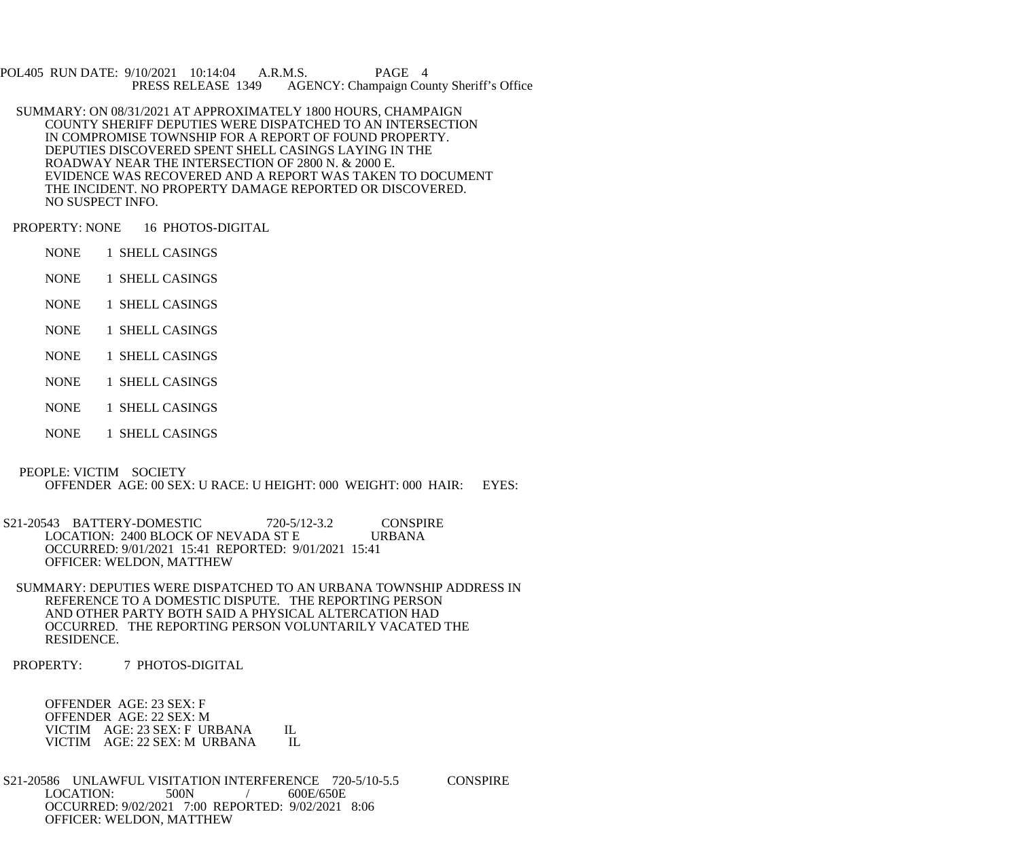POL405 RUN DATE: 9/10/2021 10:14:04 A.R.M.S. PAGE 4<br>PRESS RELEASE 1349 AGENCY: Champaign Cou AGENCY: Champaign County Sheriff's Office

 SUMMARY: ON 08/31/2021 AT APPROXIMATELY 1800 HOURS, CHAMPAIGN COUNTY SHERIFF DEPUTIES WERE DISPATCHED TO AN INTERSECTION IN COMPROMISE TOWNSHIP FOR A REPORT OF FOUND PROPERTY. DEPUTIES DISCOVERED SPENT SHELL CASINGS LAYING IN THE ROADWAY NEAR THE INTERSECTION OF 2800 N. & 2000 E. EVIDENCE WAS RECOVERED AND A REPORT WAS TAKEN TO DOCUMENT THE INCIDENT. NO PROPERTY DAMAGE REPORTED OR DISCOVERED. NO SUSPECT INFO.

PROPERTY: NONE 16 PHOTOS-DIGITAL

- NONE 1 SHELL CASINGS
- NONE 1 SHELL CASINGS
- NONE 1 SHELL CASINGS
- NONE 1 SHELL CASINGS
- NONE 1 SHELL CASINGS
- NONE 1 SHELL CASINGS
- NONE 1 SHELL CASINGS
- NONE 1 SHELL CASINGS

 PEOPLE: VICTIM SOCIETY OFFENDER AGE: 00 SEX: U RACE: U HEIGHT: 000 WEIGHT: 000 HAIR: EYES:

S21-20543 BATTERY-DOMESTIC 720-5/12-3.2 CONSPIRE<br>LOCATION: 2400 BLOCK OF NEVADA ST E URBANA LOCATION: 2400 BLOCK OF NEVADA ST E OCCURRED: 9/01/2021 15:41 REPORTED: 9/01/2021 15:41 OFFICER: WELDON, MATTHEW

 SUMMARY: DEPUTIES WERE DISPATCHED TO AN URBANA TOWNSHIP ADDRESS IN REFERENCE TO A DOMESTIC DISPUTE. THE REPORTING PERSON AND OTHER PARTY BOTH SAID A PHYSICAL ALTERCATION HAD OCCURRED. THE REPORTING PERSON VOLUNTARILY VACATED THE RESIDENCE.

PROPERTY: 7 PHOTOS-DIGITAL

 OFFENDER AGE: 23 SEX: F OFFENDER AGE: 22 SEX: M VICTIM AGE: 23 SEX: F URBANA IL<br>VICTIM AGE: 22 SEX: M URBANA IL VICTIM AGE: 22 SEX: M URBANA

S21-20586 UNLAWFUL VISITATION INTERFERENCE 720-5/10-5.5 CONSPIRE<br>LOCATION: 500N / 600E/650E  $LOGATION: 500N$  / OCCURRED: 9/02/2021 7:00 REPORTED: 9/02/2021 8:06 OFFICER: WELDON, MATTHEW